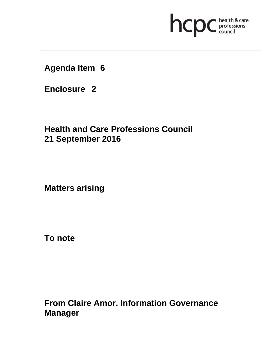# **health & care**

**Agenda Item 6** 

**Enclosure 2**

**Health and Care Professions Council 21 September 2016**

**Matters arising** 

**To note** 

**From Claire Amor, Information Governance Manager**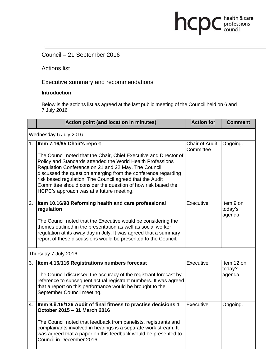# Council – 21 September 2016

Actions list

Executive summary and recommendations

### **Introduction**

Below is the actions list as agreed at the last public meeting of the Council held on 6 and 7 July 2016

hcpc health & care

|                       | <b>Action point (and location in minutes)</b>                                                                                      | <b>Action for</b>                  | <b>Comment</b>                  |
|-----------------------|------------------------------------------------------------------------------------------------------------------------------------|------------------------------------|---------------------------------|
| Wednesday 6 July 2016 |                                                                                                                                    |                                    |                                 |
|                       | 1. Item 7.16/95 Chair's report                                                                                                     | <b>Chair of Audit</b><br>Committee | Ongoing.                        |
|                       | The Council noted that the Chair, Chief Executive and Director of<br>Policy and Standards attended the World Health Professions    |                                    |                                 |
|                       | Regulation Conference on 21 and 22 May. The Council<br>discussed the question emerging from the conference regarding               |                                    |                                 |
|                       | risk based regulation. The Council agreed that the Audit<br>Committee should consider the question of how risk based the           |                                    |                                 |
|                       | HCPC's approach was at a future meeting.                                                                                           |                                    |                                 |
| 2.                    | Item 10.16/98 Reforming health and care professional<br>regulation                                                                 | Executive                          | Item 9 on<br>today's<br>agenda. |
|                       | The Council noted that the Executive would be considering the                                                                      |                                    |                                 |
|                       | themes outlined in the presentation as well as social worker                                                                       |                                    |                                 |
|                       | regulation at its away day in July. It was agreed that a summary<br>report of these discussions would be presented to the Council. |                                    |                                 |
|                       |                                                                                                                                    |                                    |                                 |
| Thursday 7 July 2016  |                                                                                                                                    |                                    |                                 |
| 3.                    | Item 4.16/116 Registrations numbers forecast                                                                                       | Executive                          | Item 12 on<br>today's           |
|                       | The Council discussed the accuracy of the registrant forecast by                                                                   |                                    | agenda.                         |
|                       | reference to subsequent actual registrant numbers. It was agreed                                                                   |                                    |                                 |
|                       | that a report on this performance would be brought to the                                                                          |                                    |                                 |
|                       | September Council meeting.                                                                                                         |                                    |                                 |
| 4.                    | Item 9.ii.16/126 Audit of final fitness to practise decisions 1<br>October 2015 - 31 March 2016                                    | Executive                          | Ongoing.                        |
|                       |                                                                                                                                    |                                    |                                 |
|                       | The Council noted that feedback from panelists, registrants and                                                                    |                                    |                                 |
|                       | complainants involved in hearings is a separate work stream. It                                                                    |                                    |                                 |
|                       | was agreed that a paper on this feedback would be presented to<br>Council in December 2016.                                        |                                    |                                 |